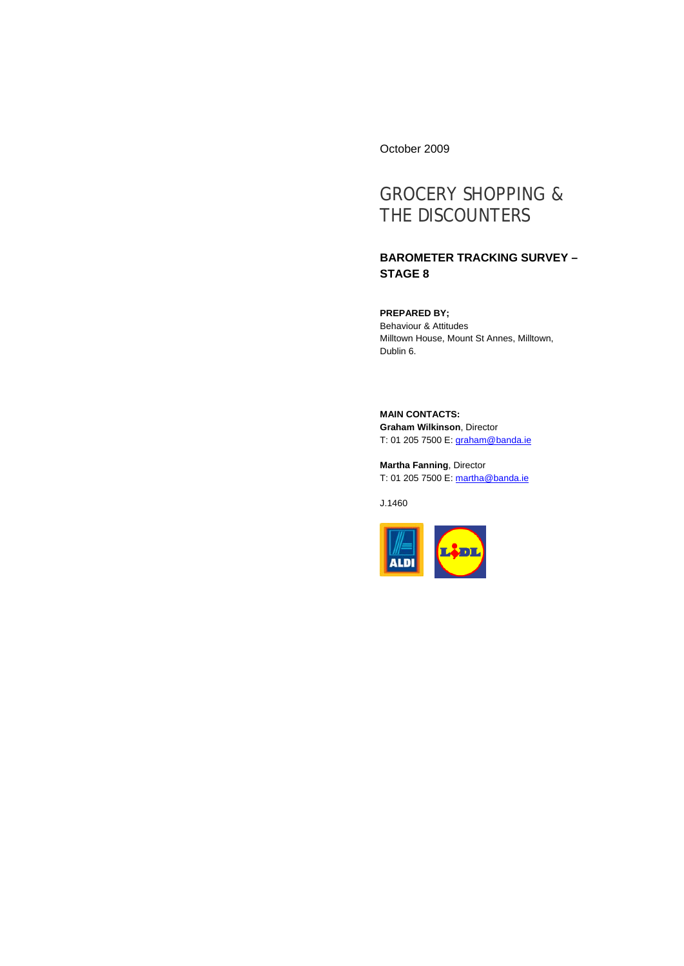October 2009

#### GROCERY SHOPPING & THE DISCOUNTERS

#### **BAROMETER TRACKING SURVEY – STAGE 8**

#### **PREPARED BY;**

Behaviour & Attitudes Milltown House, Mount St Annes, Milltown, Dublin 6.

#### **MAIN CONTACTS:**

**Graham Wilkinson**, Director T: 01 205 7500 E: [graham@banda.ie](mailto:graham@banda.ie) 

**Martha Fanning**, Director T: 01 205 7500 E: [martha@banda.ie](mailto:martha@banda.ie)

J.1460

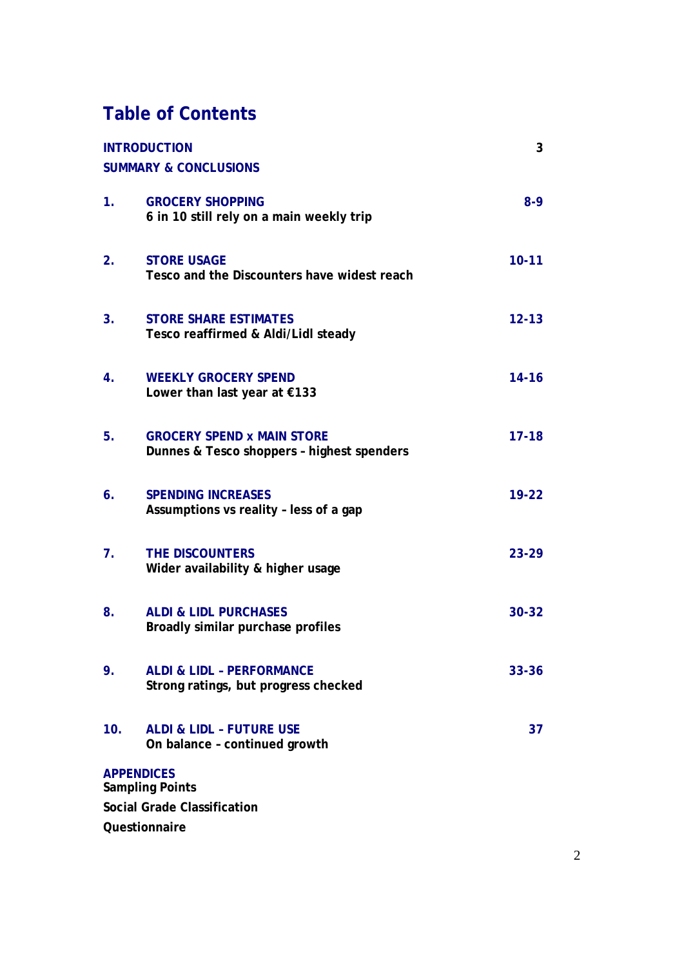## **Table of Contents**

|                | <b>INTRODUCTION</b>                                                             | 3         |
|----------------|---------------------------------------------------------------------------------|-----------|
|                | <b>SUMMARY &amp; CONCLUSIONS</b>                                                |           |
| 1 <sub>1</sub> | <b>GROCERY SHOPPING</b><br>6 in 10 still rely on a main weekly trip             | $8 - 9$   |
| 2.             | <b>STORE USAGE</b><br>Tesco and the Discounters have widest reach               | $10 - 11$ |
| 3.             | <b>STORE SHARE ESTIMATES</b><br>Tesco reaffirmed & Aldi/Lidl steady             | $12 - 13$ |
| $\mathbf{4}$ . | <b>WEEKLY GROCERY SPEND</b><br>Lower than last year at $£133$                   | $14 - 16$ |
| 5.             | <b>GROCERY SPEND x MAIN STORE</b><br>Dunnes & Tesco shoppers - highest spenders | $17 - 18$ |
| 6.             | <b>SPENDING INCREASES</b><br>Assumptions vs reality - less of a gap             | $19 - 22$ |
| 7.             | <b>THE DISCOUNTERS</b><br>Wider availability & higher usage                     | $23 - 29$ |
| 8.             | <b>ALDI &amp; LIDL PURCHASES</b><br>Broadly similar purchase profiles           | $30 - 32$ |
| 9.             | <b>ALDI &amp; LIDL - PERFORMANCE</b><br>Strong ratings, but progress checked    | $33 - 36$ |
| 10.            | <b>ALDI &amp; LIDL - FUTURE USE</b><br>On balance - continued growth            | 37        |
|                | <b>APPENDICES</b><br><b>Sampling Points</b>                                     |           |
|                | <b>Social Grade Classification</b>                                              |           |
|                | Questionnaire                                                                   |           |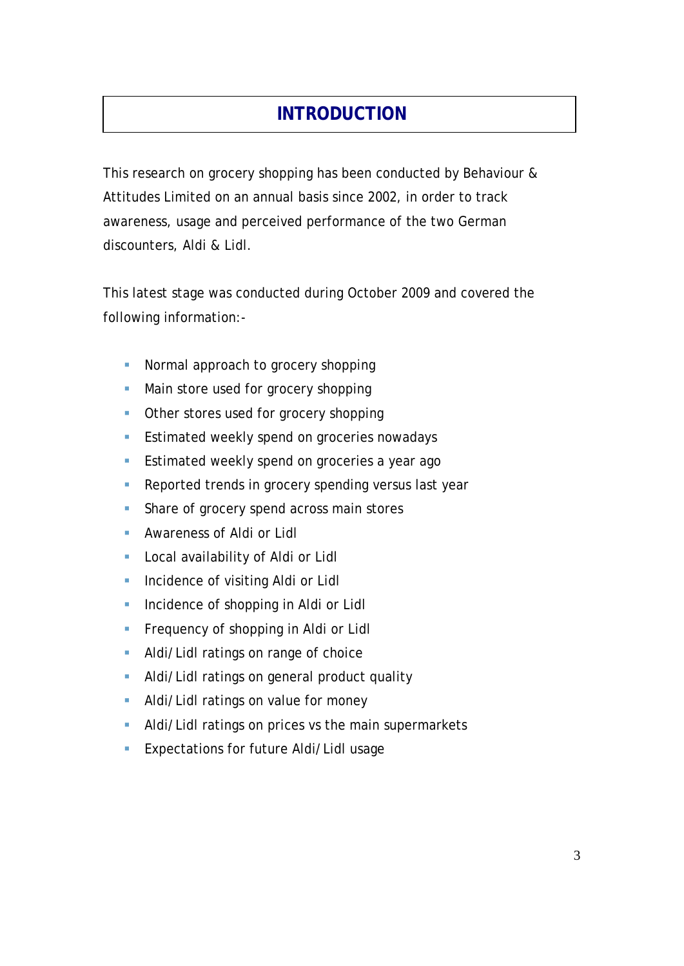## **INTRODUCTION**

This research on grocery shopping has been conducted by Behaviour & Attitudes Limited on an annual basis since 2002, in order to track awareness, usage and perceived performance of the two German discounters, Aldi & Lidl.

This latest stage was conducted during October 2009 and covered the following information:-

- Normal approach to grocery shopping
- **Main store used for grocery shopping**
- **Other stores used for grocery shopping**
- **Estimated weekly spend on groceries nowadays**
- **Estimated weekly spend on groceries a year ago**
- **Reported trends in grocery spending versus last year**
- **Share of grocery spend across main stores**
- **Awareness of Aldi or Lidl**
- **Local availability of Aldi or Lidl**
- **Incidence of visiting Aldi or Lidl**
- **Incidence of shopping in Aldi or Lidl**
- **Figure 1** Frequency of shopping in Aldi or Lidl
- **Aldi/Lidl ratings on range of choice**
- Aldi/Lidl ratings on general product quality
- Aldi/Lidl ratings on value for money
- **Aldi/Lidl ratings on prices vs the main supermarkets**
- **Expectations for future Aldi/Lidl usage**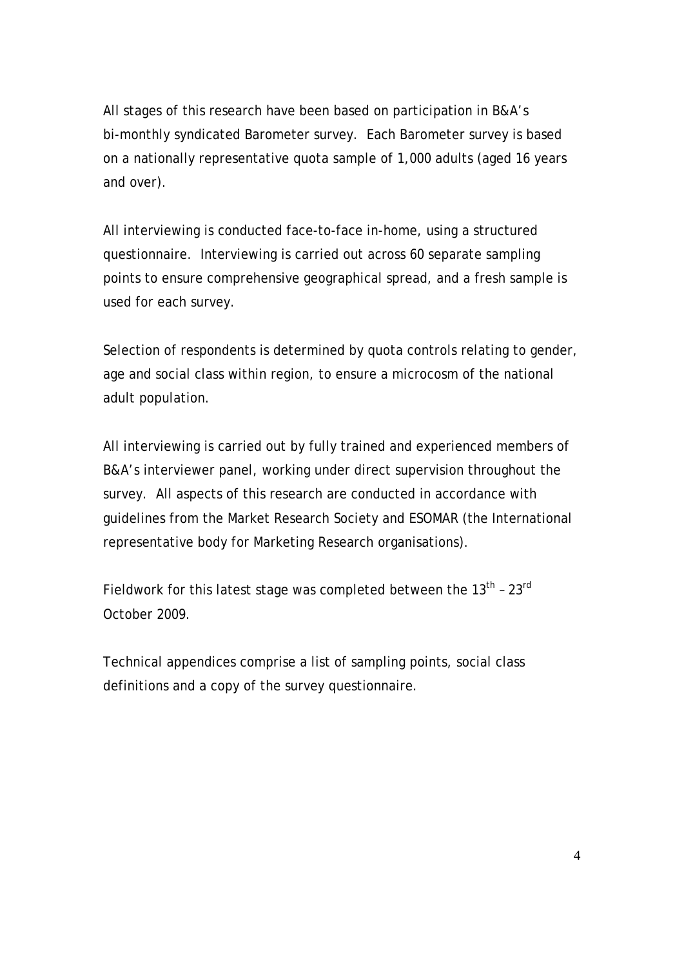All stages of this research have been based on participation in B&A's bi-monthly syndicated Barometer survey. Each Barometer survey is based on a nationally representative quota sample of 1,000 adults (aged 16 years and over).

All interviewing is conducted face-to-face in-home, using a structured questionnaire. Interviewing is carried out across 60 separate sampling points to ensure comprehensive geographical spread, and a fresh sample is used for each survey.

Selection of respondents is determined by quota controls relating to gender, age and social class within region, to ensure a microcosm of the national adult population.

All interviewing is carried out by fully trained and experienced members of B&A's interviewer panel, working under direct supervision throughout the survey. All aspects of this research are conducted in accordance with guidelines from the Market Research Society and ESOMAR (the International representative body for Marketing Research organisations).

Fieldwork for this latest stage was completed between the  $13^{th}$  -  $23^{rd}$ October 2009.

Technical appendices comprise a list of sampling points, social class definitions and a copy of the survey questionnaire.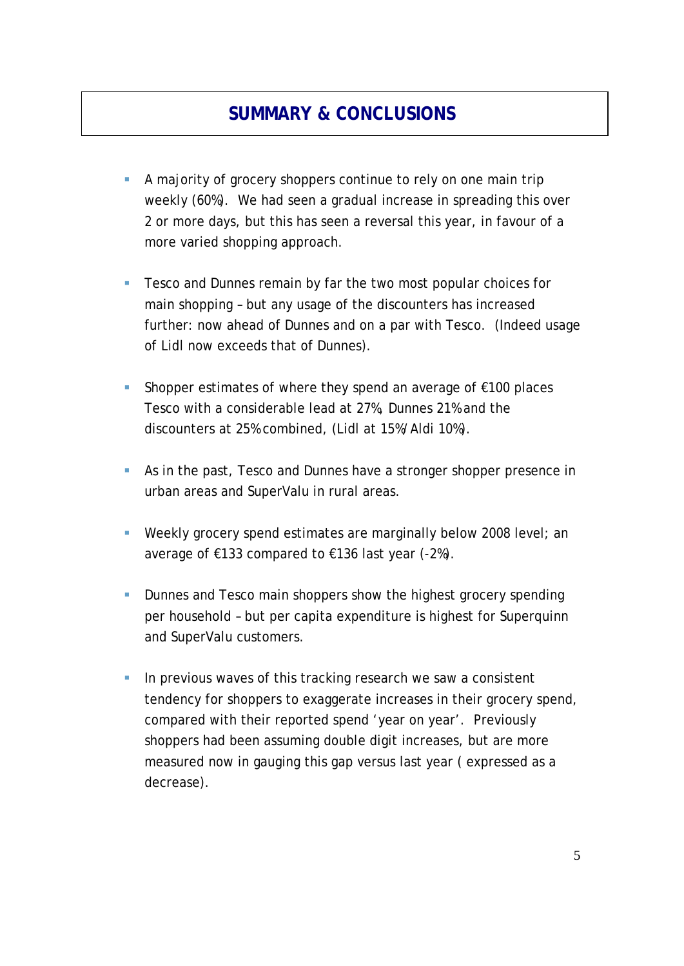### **SUMMARY & CONCLUSIONS**

- A majority of grocery shoppers continue to rely on one main trip weekly (60%). We had seen a gradual increase in spreading this over 2 or more days, but this has seen a reversal this year, in favour of a more varied shopping approach.
- **Tesco and Dunnes remain by far the two most popular choices for** main shopping – but any usage of the discounters has increased further: now ahead of Dunnes and on a par with Tesco. (Indeed usage of Lidl now exceeds that of Dunnes).
- Shopper estimates of where they spend an average of €100 places Tesco with a considerable lead at 27%, Dunnes 21% and the discounters at 25% combined, (Lidl at 15%/Aldi 10%).
- As in the past, Tesco and Dunnes have a stronger shopper presence in urban areas and SuperValu in rural areas.
- Weekly grocery spend estimates are marginally below 2008 level; an average of €133 compared to €136 last year (-2%).
- Dunnes and Tesco main shoppers show the highest grocery spending per household – but per capita expenditure is highest for Superquinn and SuperValu customers.
- In previous waves of this tracking research we saw a consistent tendency for shoppers to exaggerate increases in their grocery spend, compared with their reported spend 'year on year'. Previously shoppers had been assuming double digit increases, but are more measured now in gauging this gap versus last year ( expressed as a decrease).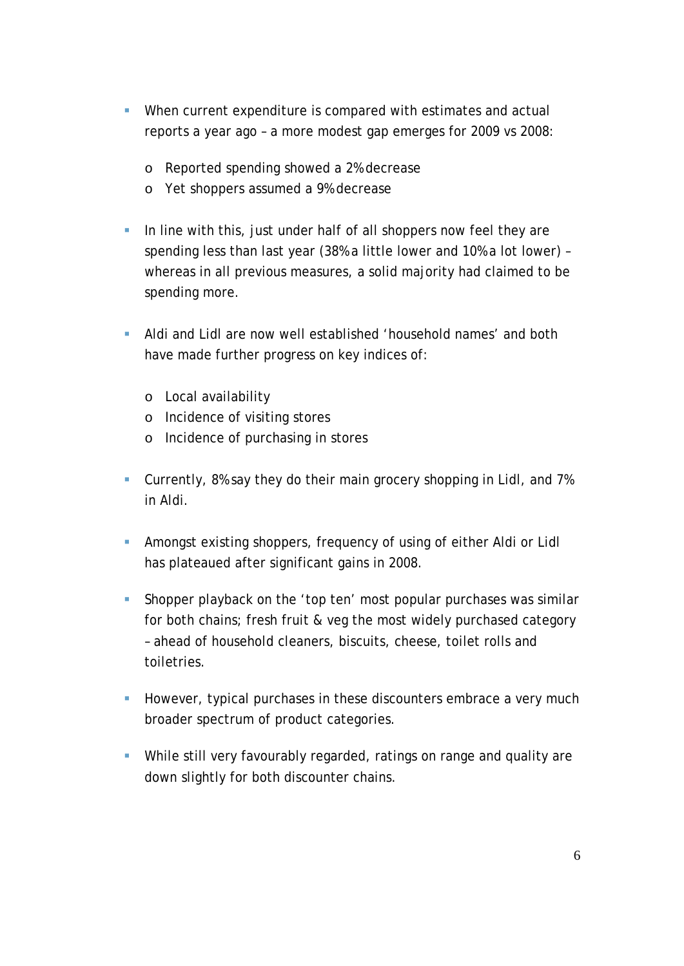- When current expenditure is compared with estimates and actual reports a year ago – a more modest gap emerges for 2009 vs 2008:
	- o Reported spending showed a 2% decrease
	- o Yet shoppers assumed a 9% decrease
- In line with this, just under half of all shoppers now feel they are spending less than last year (38% a little lower and 10% a lot lower) – whereas in all previous measures, a solid majority had claimed to be spending more.
- Aldi and Lidl are now well established 'household names' and both have made further progress on key indices of:
	- o Local availability
	- o Incidence of visiting stores
	- o Incidence of purchasing in stores
- Currently, 8% say they do their main grocery shopping in Lidl, and 7% in Aldi.
- Amongst existing shoppers, frequency of using of either Aldi or Lidl has plateaued after significant gains in 2008.
- **Shopper playback on the 'top ten' most popular purchases was similar** for both chains; fresh fruit & veg the most widely purchased category – ahead of household cleaners, biscuits, cheese, toilet rolls and toiletries.
- However, typical purchases in these discounters embrace a very much broader spectrum of product categories.
- While still very favourably regarded, ratings on range and quality are down slightly for both discounter chains.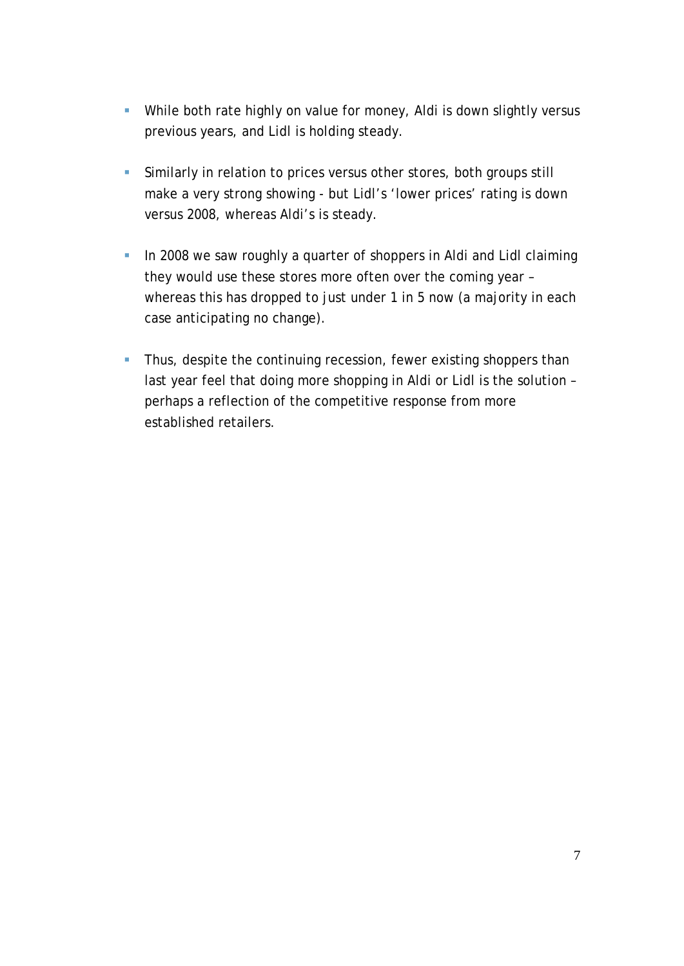- While both rate highly on value for money, Aldi is down slightly versus previous years, and Lidl is holding steady.
- **Similarly in relation to prices versus other stores, both groups still** make a very strong showing - but Lidl's 'lower prices' rating is down versus 2008, whereas Aldi's is steady.
- In 2008 we saw roughly a quarter of shoppers in Aldi and Lidl claiming they would use these stores more often over the coming year – whereas this has dropped to just under 1 in 5 now (a majority in each case anticipating no change).
- **Thus, despite the continuing recession, fewer existing shoppers than** last year feel that doing more shopping in Aldi or Lidl is the solution – perhaps a reflection of the competitive response from more established retailers.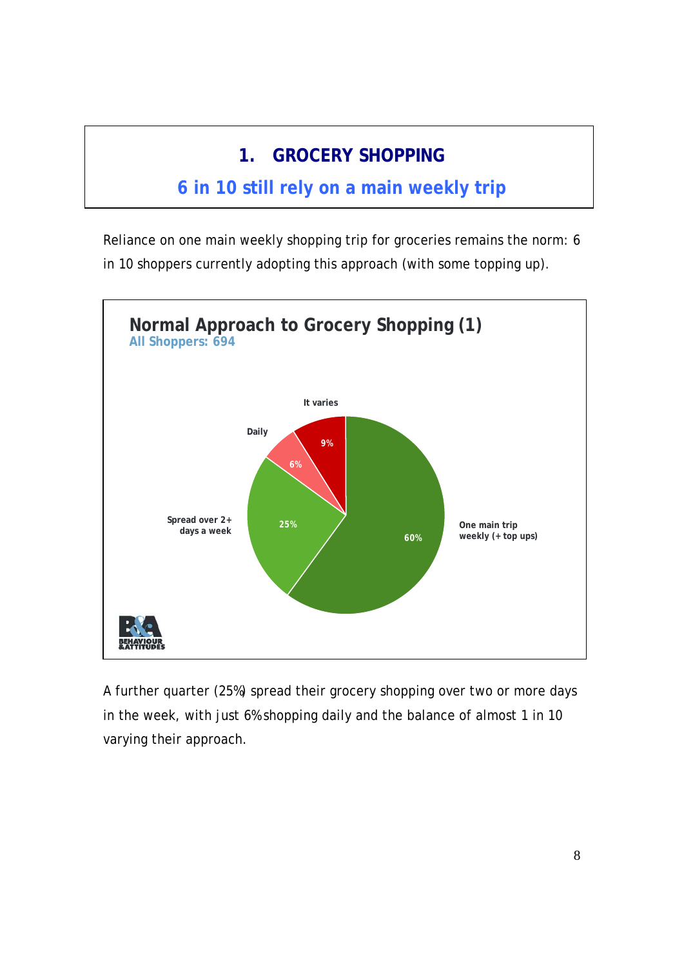# **1. GROCERY SHOPPING**

## **6 in 10 still rely on a main weekly trip**

Reliance on one main weekly shopping trip for groceries remains the norm: 6 in 10 shoppers currently adopting this approach (with some topping up).



A further quarter (25%) spread their grocery shopping over two or more days in the week, with just 6% shopping daily and the balance of almost 1 in 10 varying their approach.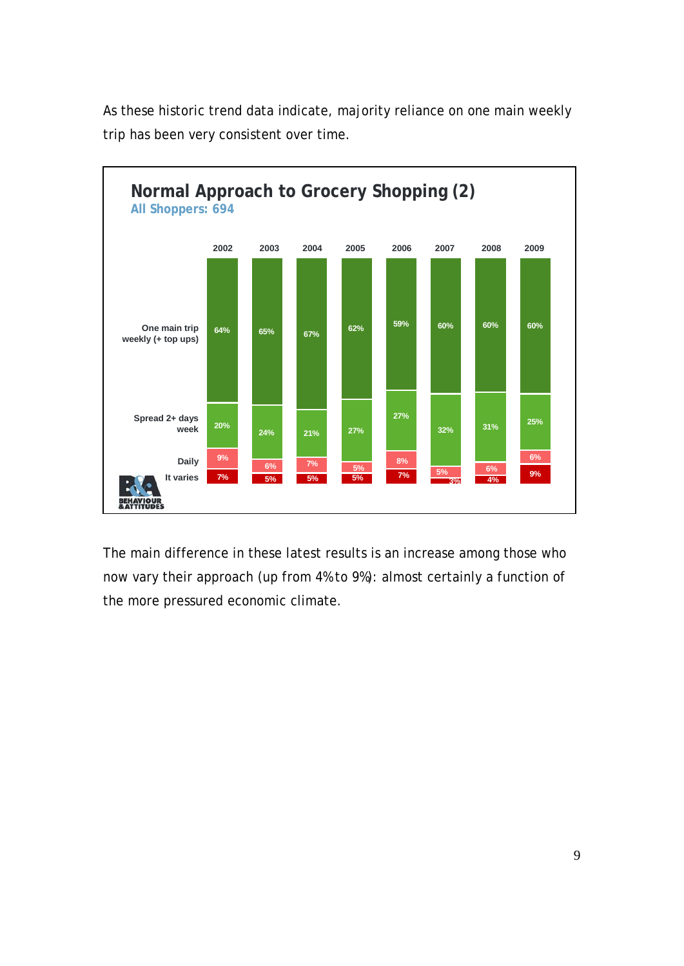

As these historic trend data indicate, majority reliance on one main weekly trip has been very consistent over time.

The main difference in these latest results is an increase among those who now vary their approach (up from 4% to 9%): almost certainly a function of the more pressured economic climate.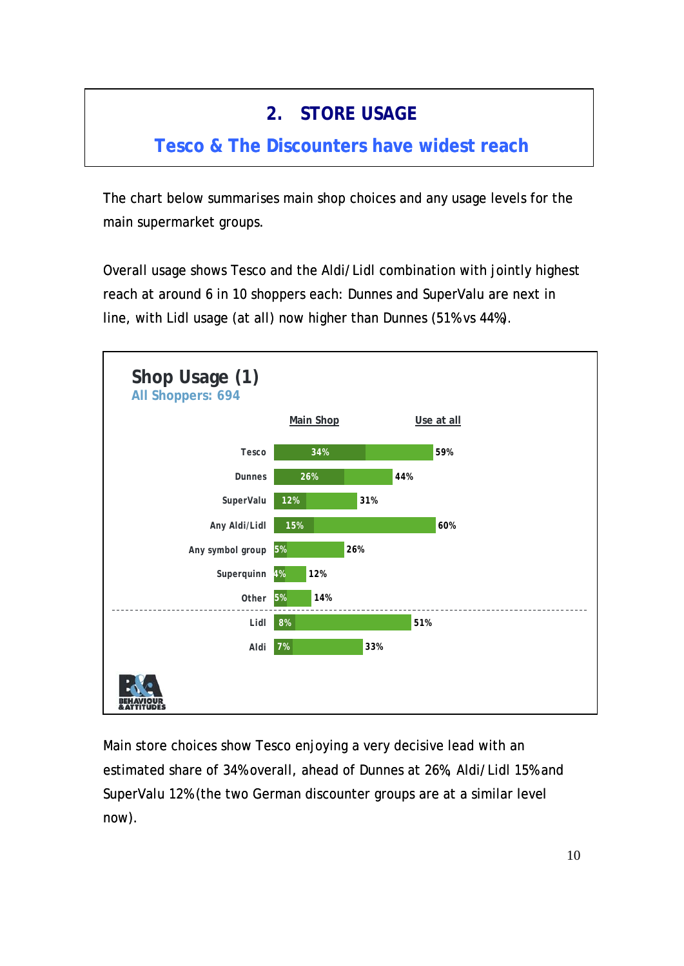## **2. STORE USAGE**

## **Tesco & The Discounters have widest reach**

The chart below summarises main shop choices and any usage levels for the main supermarket groups.

Overall usage shows Tesco and the Aldi/Lidl combination with jointly highest reach at around 6 in 10 shoppers each: Dunnes and SuperValu are next in line, with Lidl usage (at all) now higher than Dunnes (51% vs 44%).



Main store choices show Tesco enjoying a very decisive lead with an estimated share of 34% overall, ahead of Dunnes at 26%, Aldi/Lidl 15% and SuperValu 12% (the two German discounter groups are at a similar level now).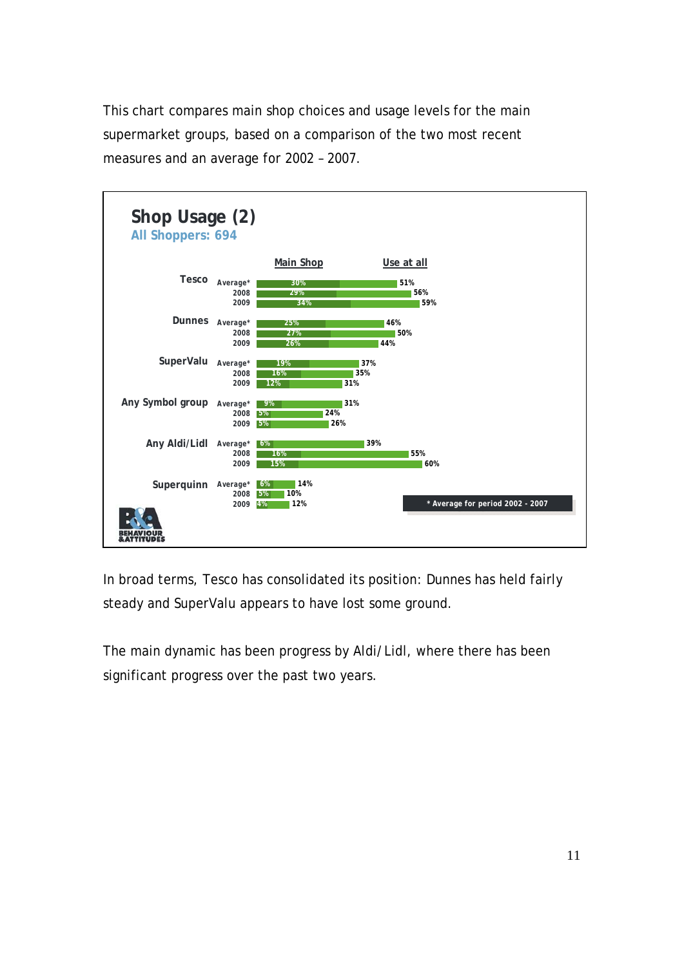This chart compares main shop choices and usage levels for the main supermarket groups, based on a comparison of the two most recent measures and an average for 2002 – 2007.



In broad terms, Tesco has consolidated its position: Dunnes has held fairly steady and SuperValu appears to have lost some ground.

The main dynamic has been progress by Aldi/Lidl, where there has been significant progress over the past two years.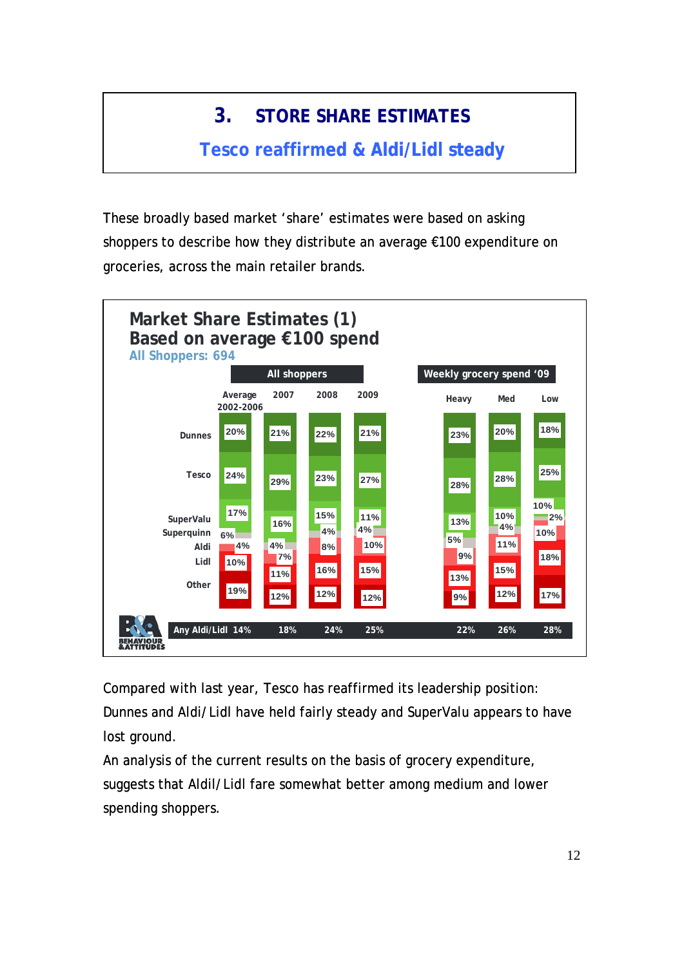# **3. STORE SHARE ESTIMATES**

**Tesco reaffirmed & Aldi/Lidl steady** 

These broadly based market 'share' estimates were based on asking shoppers to describe how they distribute an average €100 expenditure on groceries, across the main retailer brands.



Compared with last year, Tesco has reaffirmed its leadership position:

Dunnes and Aldi/Lidl have held fairly steady and SuperValu appears to have lost ground.

An analysis of the current results on the basis of grocery expenditure, suggests that Aldil/Lidl fare somewhat better among medium and lower spending shoppers.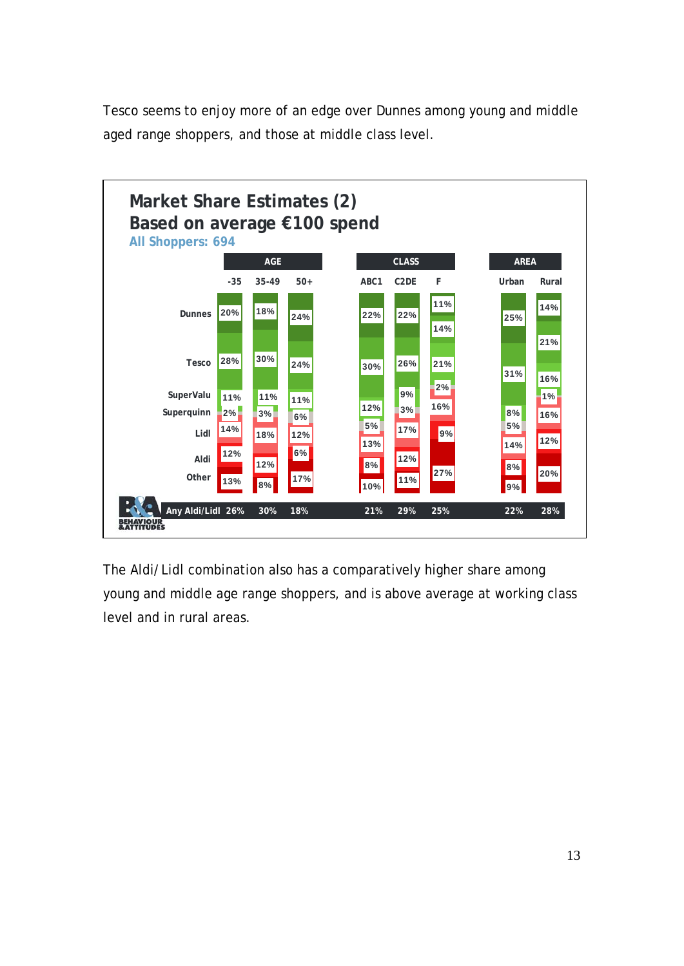Tesco seems to enjoy more of an edge over Dunnes among young and middle aged range shoppers, and those at middle class level.



The Aldi/Lidl combination also has a comparatively higher share among young and middle age range shoppers, and is above average at working class level and in rural areas.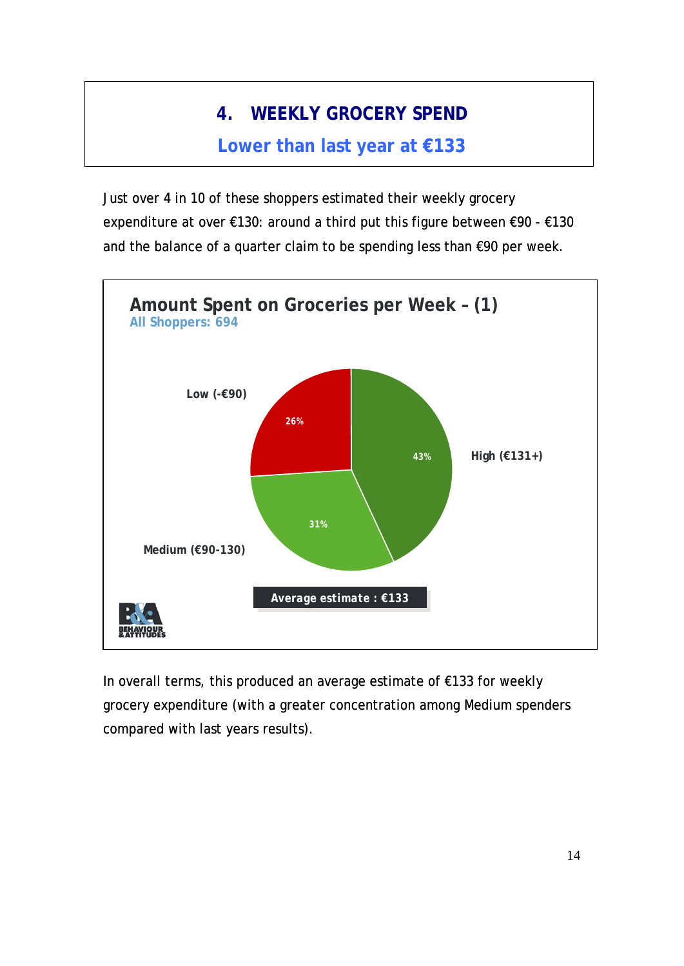## **4. WEEKLY GROCERY SPEND**

**Lower than last year at €133** 

Just over 4 in 10 of these shoppers estimated their weekly grocery expenditure at over €130: around a third put this figure between €90 - €130 and the balance of a quarter claim to be spending less than €90 per week.



In overall terms, this produced an average estimate of €133 for weekly grocery expenditure (with a greater concentration among Medium spenders compared with last years results).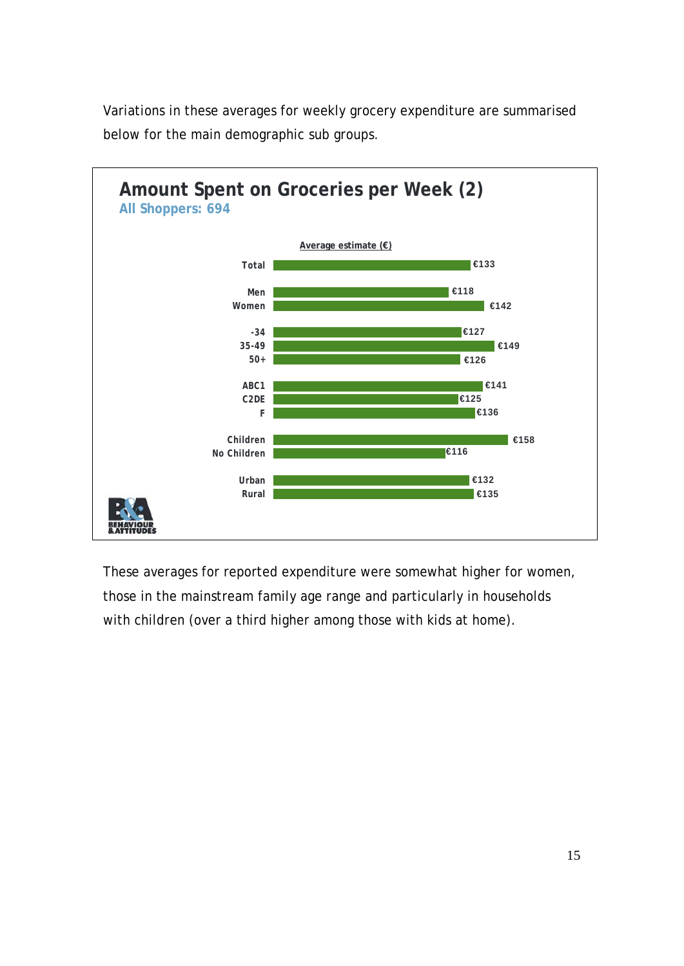

Variations in these averages for weekly grocery expenditure are summarised below for the main demographic sub groups.

These averages for reported expenditure were somewhat higher for women, those in the mainstream family age range and particularly in households with children (over a third higher among those with kids at home).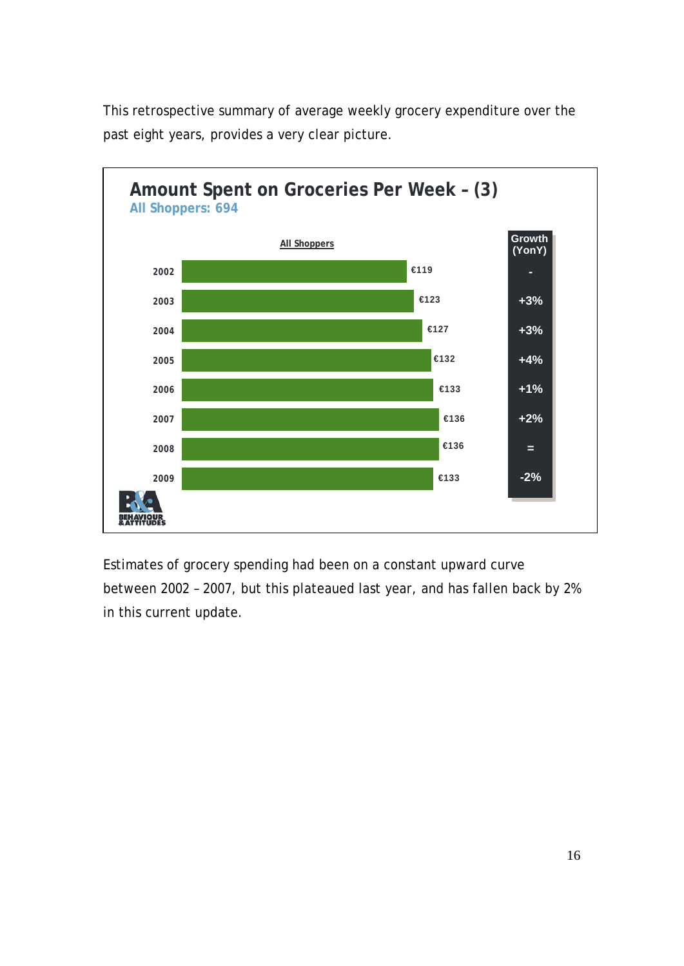

This retrospective summary of average weekly grocery expenditure over the past eight years, provides a very clear picture.

Estimates of grocery spending had been on a constant upward curve between 2002 – 2007, but this plateaued last year, and has fallen back by 2% in this current update.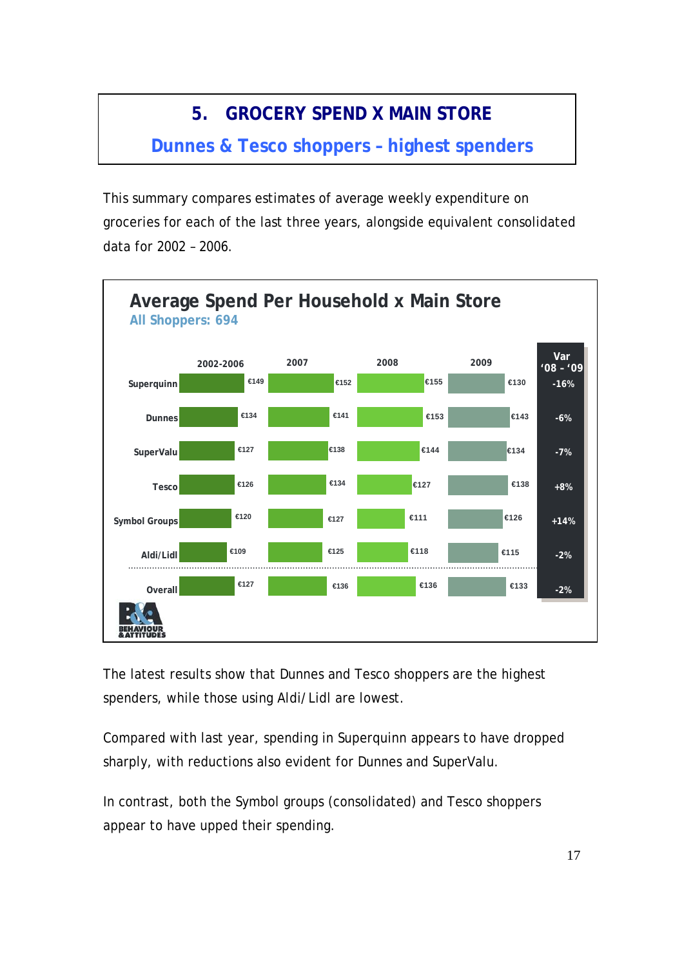# **5. GROCERY SPEND X MAIN STORE**

**Dunnes & Tesco shoppers – highest spenders** 

This summary compares estimates of average weekly expenditure on groceries for each of the last three years, alongside equivalent consolidated data for 2002 – 2006.



The latest results show that Dunnes and Tesco shoppers are the highest spenders, while those using Aldi/Lidl are lowest.

Compared with last year, spending in Superquinn appears to have dropped sharply, with reductions also evident for Dunnes and SuperValu.

In contrast, both the Symbol groups (consolidated) and Tesco shoppers appear to have upped their spending.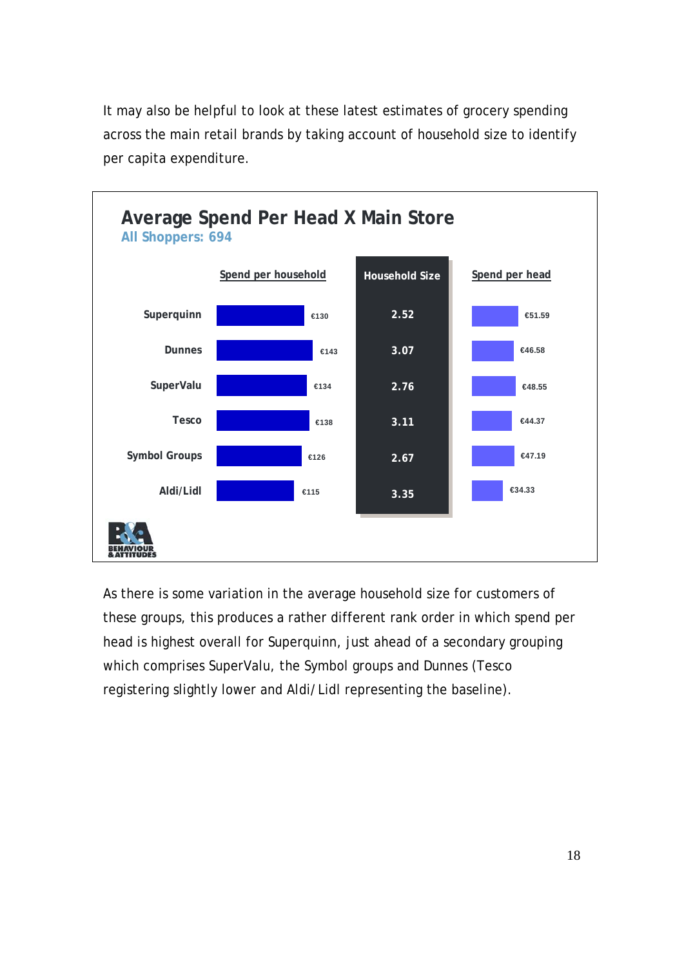It may also be helpful to look at these latest estimates of grocery spending across the main retail brands by taking account of household size to identify per capita expenditure.



As there is some variation in the average household size for customers of these groups, this produces a rather different rank order in which spend per head is highest overall for Superquinn, just ahead of a secondary grouping which comprises SuperValu, the Symbol groups and Dunnes (Tesco registering slightly lower and Aldi/Lidl representing the baseline).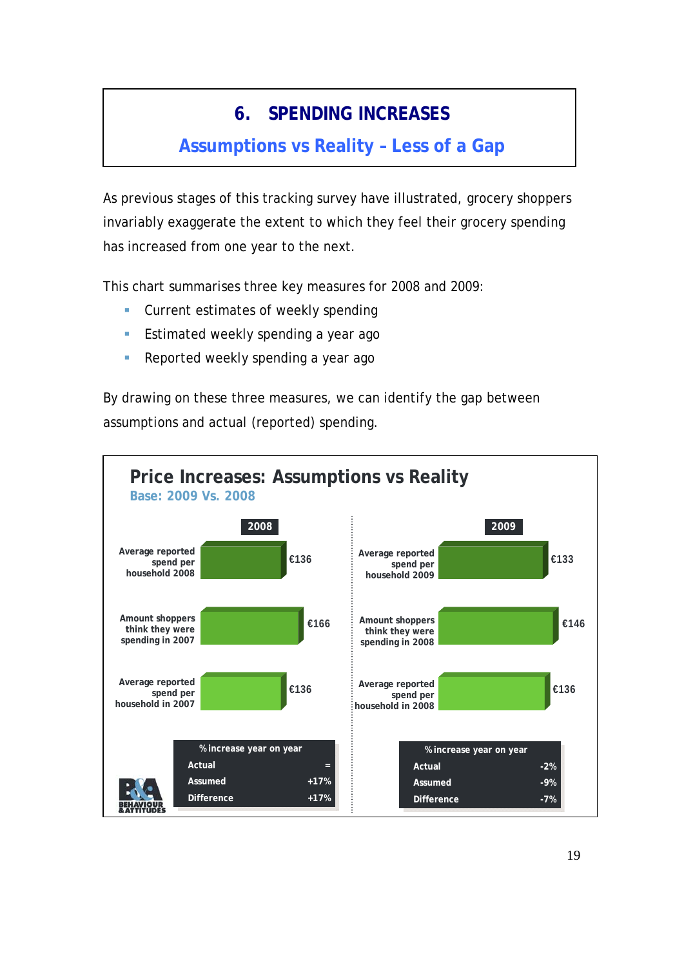# **6. SPENDING INCREASES**

### **Assumptions vs Reality – Less of a Gap**

As previous stages of this tracking survey have illustrated, grocery shoppers invariably exaggerate the extent to which they feel their grocery spending has increased from one year to the next.

This chart summarises three key measures for 2008 and 2009:

- **Current estimates of weekly spending**
- **Estimated weekly spending a year ago**
- **Reported weekly spending a year ago**

By drawing on these three measures, we can identify the gap between assumptions and actual (reported) spending.

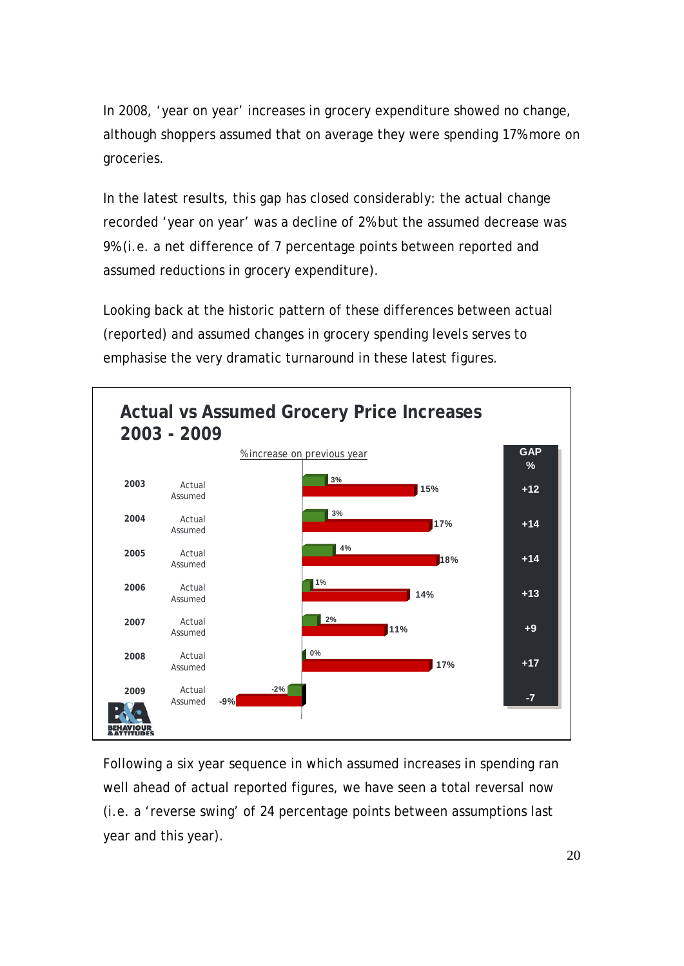In 2008, 'year on year' increases in grocery expenditure showed no change, although shoppers assumed that on average they were spending 17% more on groceries.

In the latest results, this gap has closed considerably: the actual change recorded 'year on year' was a decline of 2% but the assumed decrease was 9% (i.e. a net difference of 7 percentage points between reported and assumed reductions in grocery expenditure).

Looking back at the historic pattern of these differences between actual (reported) and assumed changes in grocery spending levels serves to emphasise the very dramatic turnaround in these latest figures.



Following a six year sequence in which assumed increases in spending ran well ahead of actual reported figures, we have seen a total reversal now (i.e. a 'reverse swing' of 24 percentage points between assumptions last year and this year).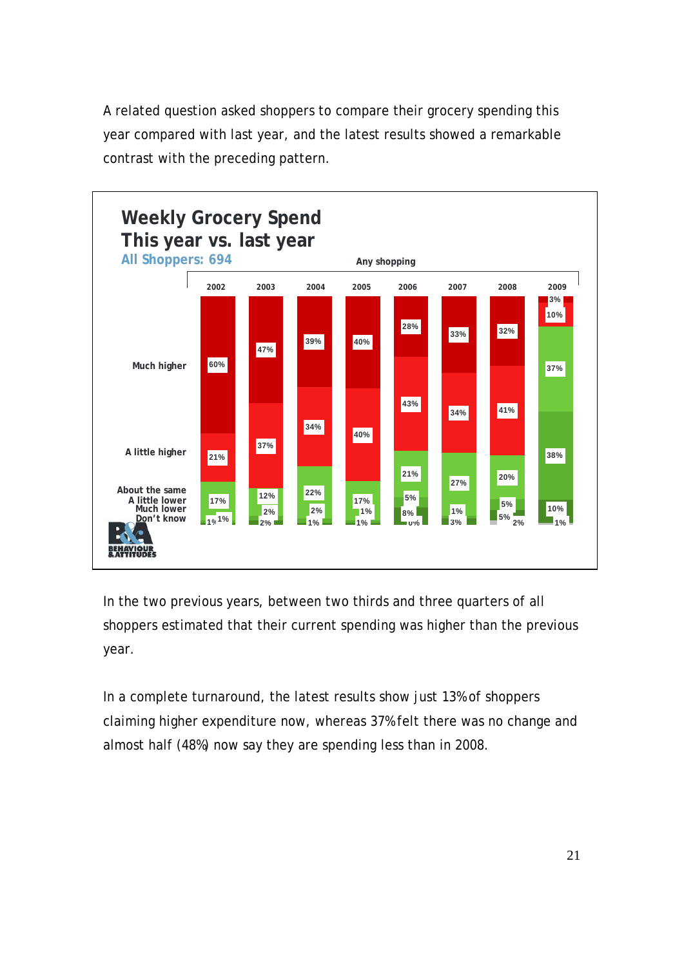A related question asked shoppers to compare their grocery spending this year compared with last year, and the latest results showed a remarkable contrast with the preceding pattern.



In the two previous years, between two thirds and three quarters of all shoppers estimated that their current spending was higher than the previous year.

In a complete turnaround, the latest results show just 13% of shoppers claiming higher expenditure now, whereas 37% felt there was no change and almost half (48%) now say they are spending less than in 2008.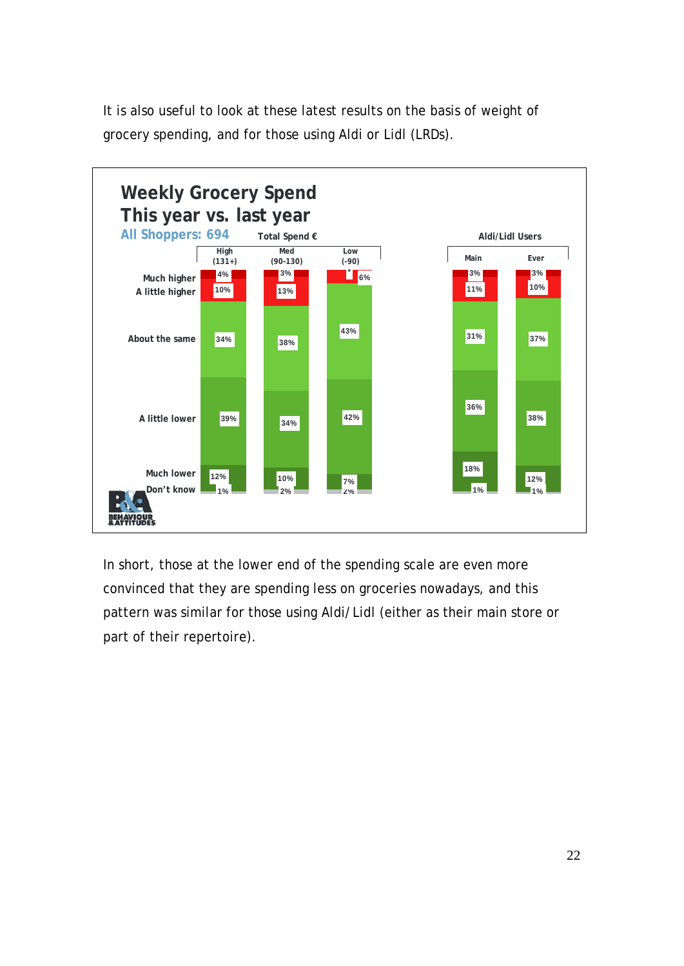It is also useful to look at these latest results on the basis of weight of grocery spending, and for those using Aldi or Lidl (LRDs).



In short, those at the lower end of the spending scale are even more convinced that they are spending less on groceries nowadays, and this pattern was similar for those using Aldi/Lidl (either as their main store or part of their repertoire).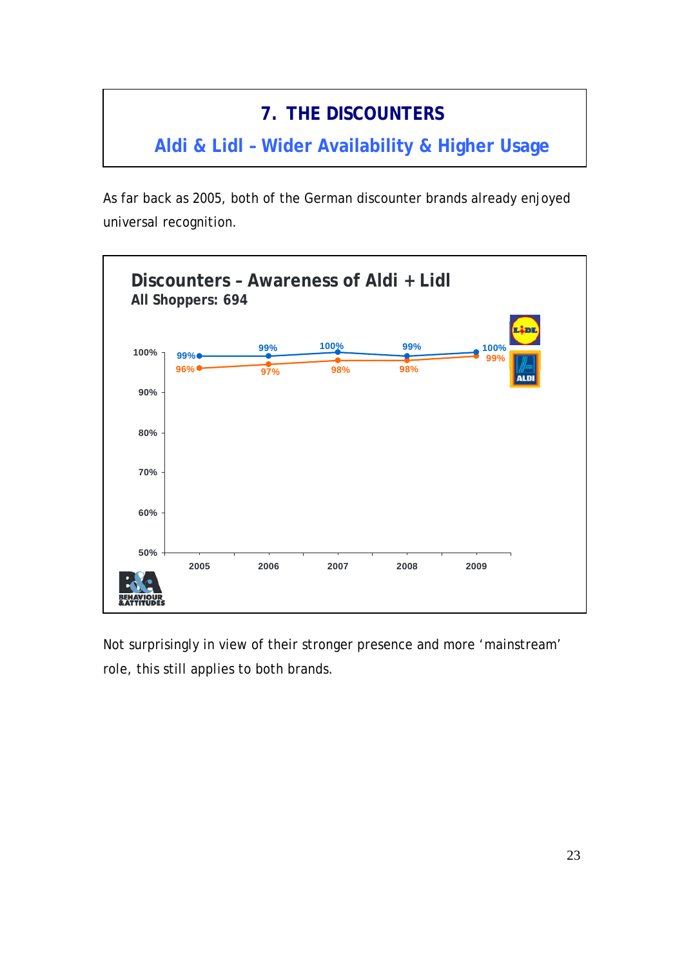## **7. THE DISCOUNTERS**

**Aldi & Lidl – Wider Availability & Higher Usage** 

As far back as 2005, both of the German discounter brands already enjoyed universal recognition.



Not surprisingly in view of their stronger presence and more 'mainstream' role, this still applies to both brands.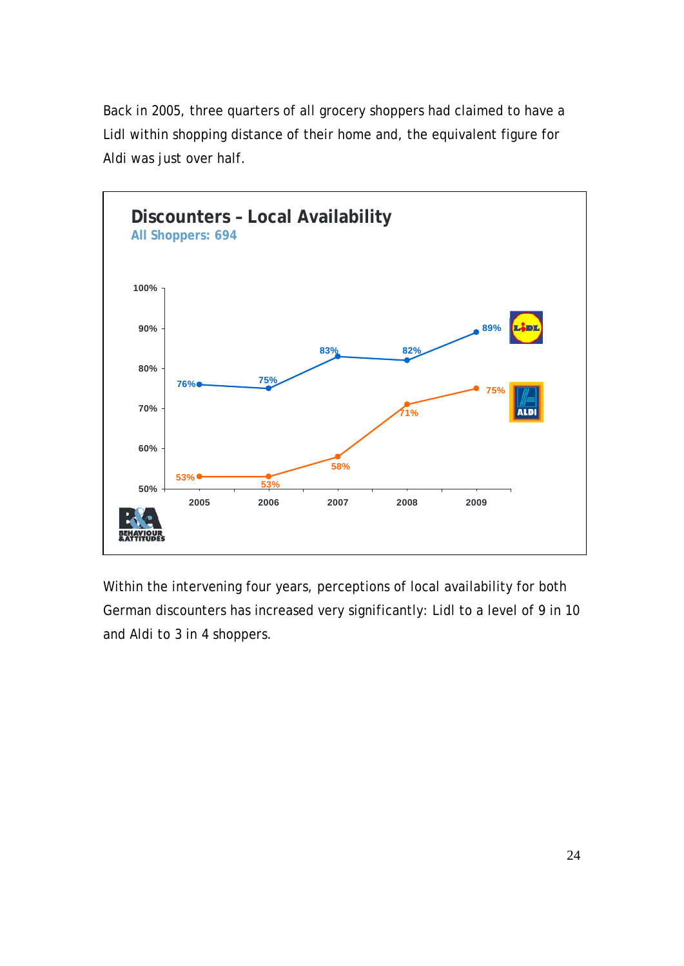Back in 2005, three quarters of all grocery shoppers had claimed to have a Lidl within shopping distance of their home and, the equivalent figure for Aldi was just over half.



Within the intervening four years, perceptions of local availability for both German discounters has increased very significantly: Lidl to a level of 9 in 10 and Aldi to 3 in 4 shoppers.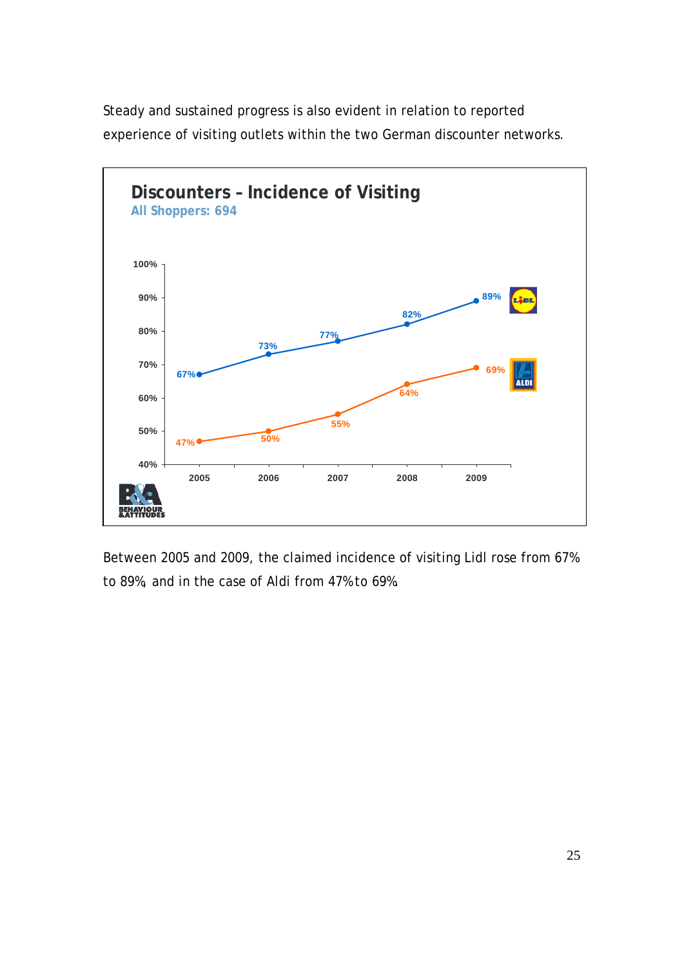

Steady and sustained progress is also evident in relation to reported experience of visiting outlets within the two German discounter networks.

Between 2005 and 2009, the claimed incidence of visiting Lidl rose from 67% to 89%, and in the case of Aldi from 47% to 69%.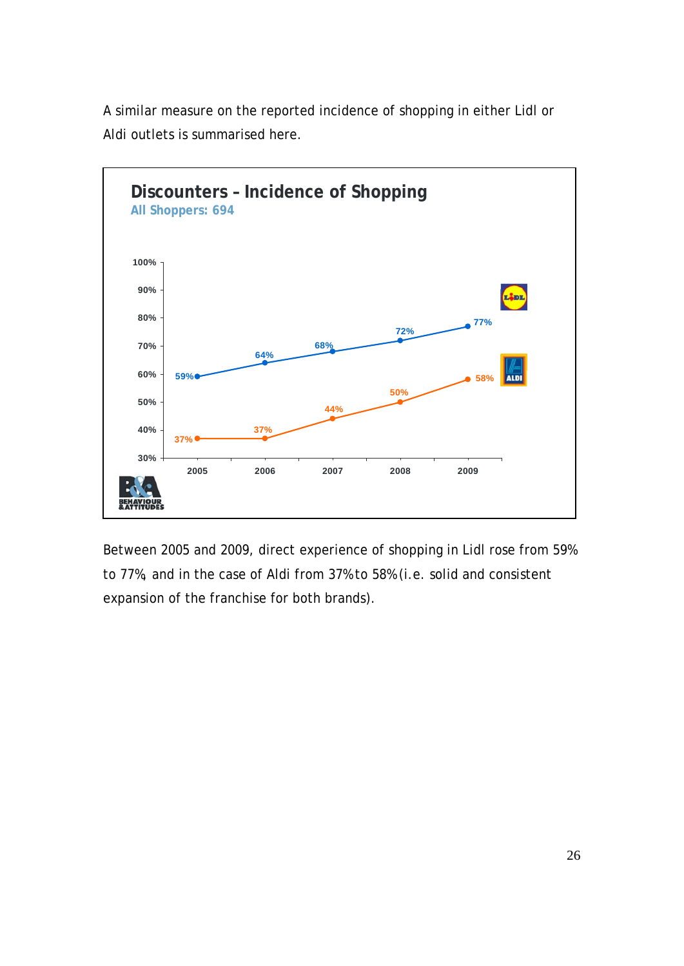

A similar measure on the reported incidence of shopping in either Lidl or Aldi outlets is summarised here.

Between 2005 and 2009, direct experience of shopping in Lidl rose from 59% to 77%, and in the case of Aldi from 37% to 58% (i.e. solid and consistent expansion of the franchise for both brands).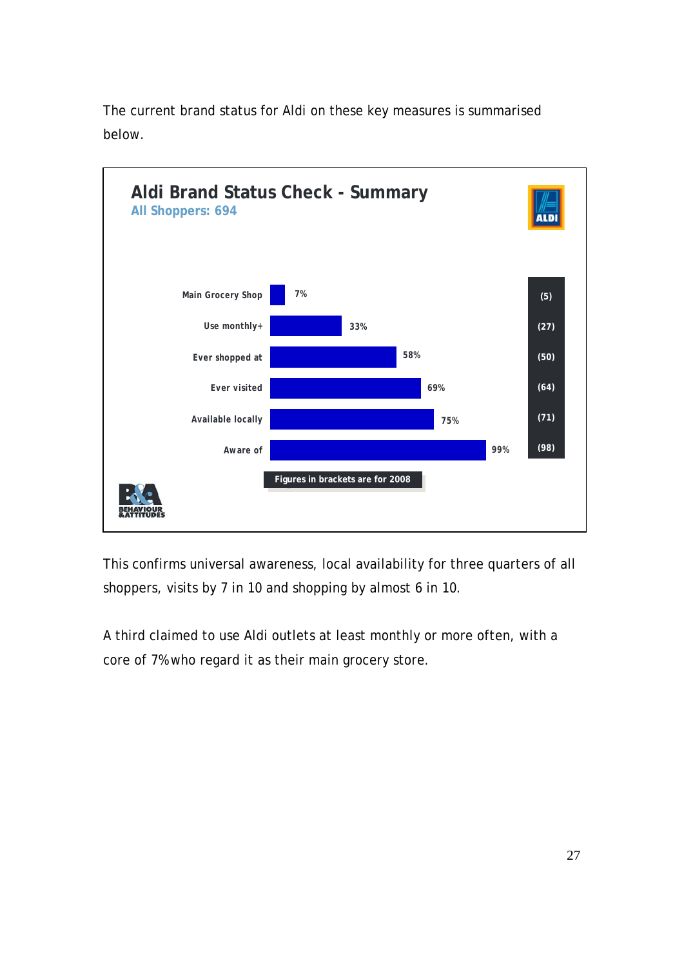

The current brand status for Aldi on these key measures is summarised below.

This confirms universal awareness, local availability for three quarters of all shoppers, visits by 7 in 10 and shopping by almost 6 in 10.

A third claimed to use Aldi outlets at least monthly or more often, with a core of 7% who regard it as their main grocery store.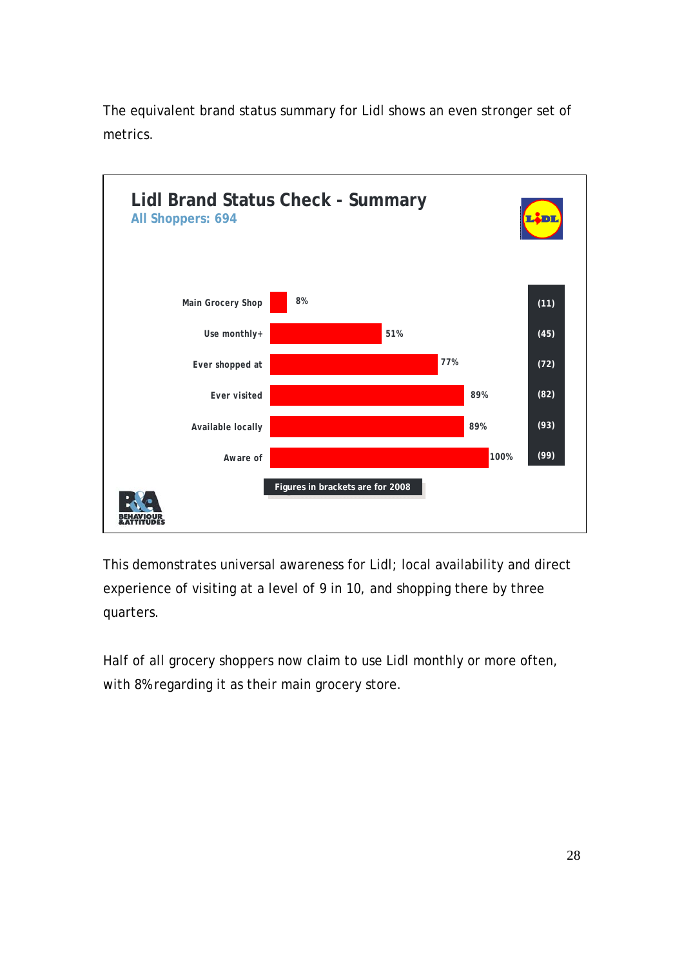The equivalent brand status summary for Lidl shows an even stronger set of metrics.



This demonstrates universal awareness for Lidl; local availability and direct experience of visiting at a level of 9 in 10, and shopping there by three quarters.

Half of all grocery shoppers now claim to use Lidl monthly or more often, with 8% regarding it as their main grocery store.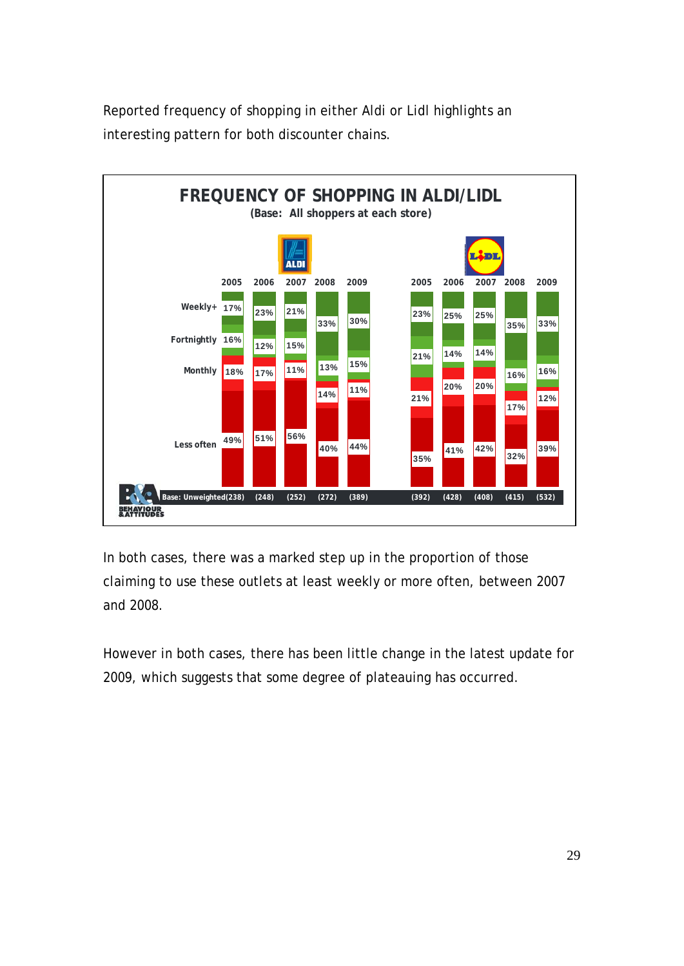Reported frequency of shopping in either Aldi or Lidl highlights an interesting pattern for both discounter chains.



In both cases, there was a marked step up in the proportion of those claiming to use these outlets at least weekly or more often, between 2007 and 2008.

However in both cases, there has been little change in the latest update for 2009, which suggests that some degree of plateauing has occurred.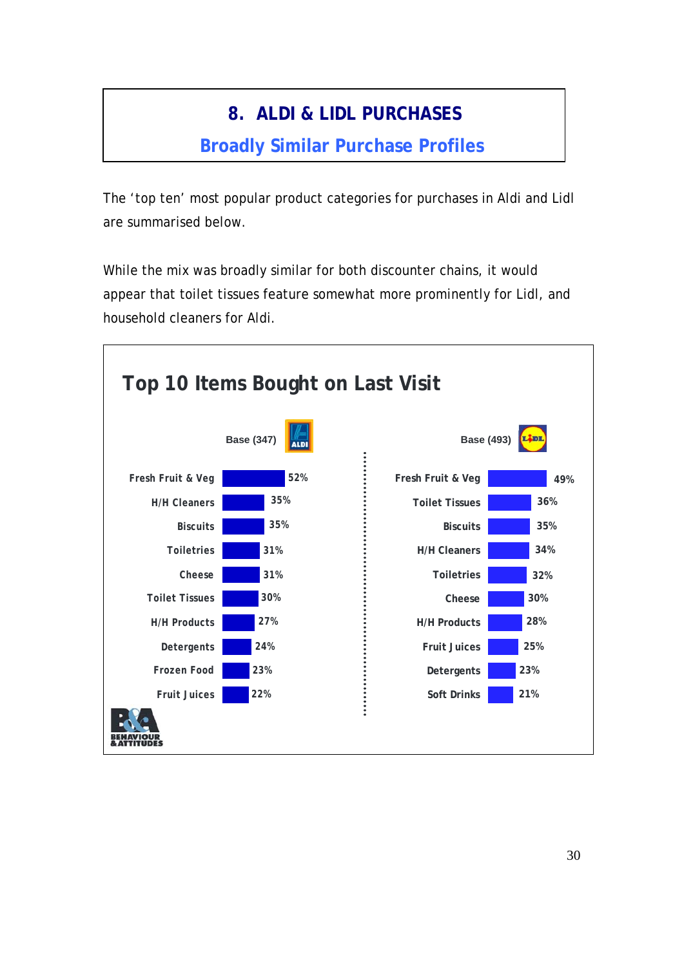# **8. ALDI & LIDL PURCHASES**

### **Broadly Similar Purchase Profiles**

The 'top ten' most popular product categories for purchases in Aldi and Lidl are summarised below.

While the mix was broadly similar for both discounter chains, it would appear that toilet tissues feature somewhat more prominently for Lidl, and household cleaners for Aldi.

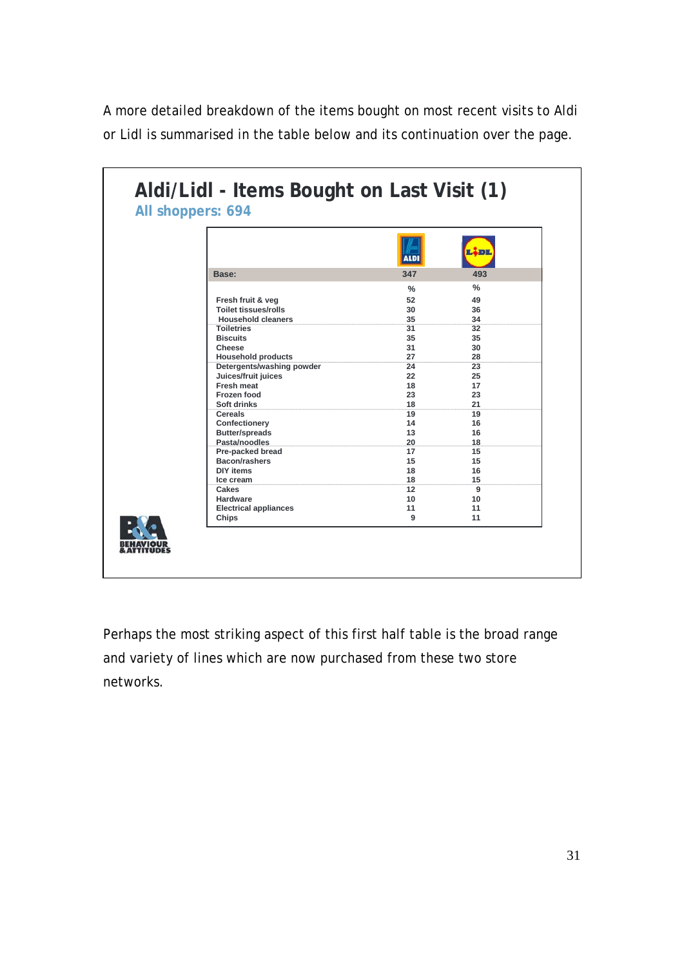A more detailed breakdown of the items bought on most recent visits to Aldi or Lidl is summarised in the table below and its continuation over the page.

|                              | <b>ALDI</b>   | idi           |
|------------------------------|---------------|---------------|
| Base:                        | 347           | 493           |
|                              | $\frac{0}{0}$ | $\frac{0}{0}$ |
| Fresh fruit & veg            | 52            | 49            |
| <b>Toilet tissues/rolls</b>  | 30            | 36            |
| <b>Household cleaners</b>    | 35            | 34            |
| <b>Toiletries</b>            | 31            | 32            |
| <b>Biscuits</b>              | 35            | 35            |
| <b>Cheese</b>                | 31            | 30            |
| <b>Household products</b>    | 27            | 28            |
| Detergents/washing powder    | 24            | 23            |
| Juices/fruit juices          | 22            | 25            |
| Fresh meat                   | 18            | 17            |
| Frozen food                  | 23            | 23            |
| Soft drinks                  | 18            | 21            |
| Cereals                      | 19            | 19            |
| Confectionery                | 14            | 16            |
| <b>Butter/spreads</b>        | 13            | 16            |
| Pasta/noodles                | 20            | 18            |
| Pre-packed bread             | 17            | 15            |
| Bacon/rashers                | 15            | 15            |
| <b>DIY items</b>             | 18            | 16            |
| Ice cream                    | 18            | 15            |
| Cakes                        | 12            | 9             |
| Hardware                     | 10            | 10            |
| <b>Electrical appliances</b> | 11            | 11            |
| Chips                        | 9             | 11            |

Perhaps the most striking aspect of this first half table is the broad range and variety of lines which are now purchased from these two store networks.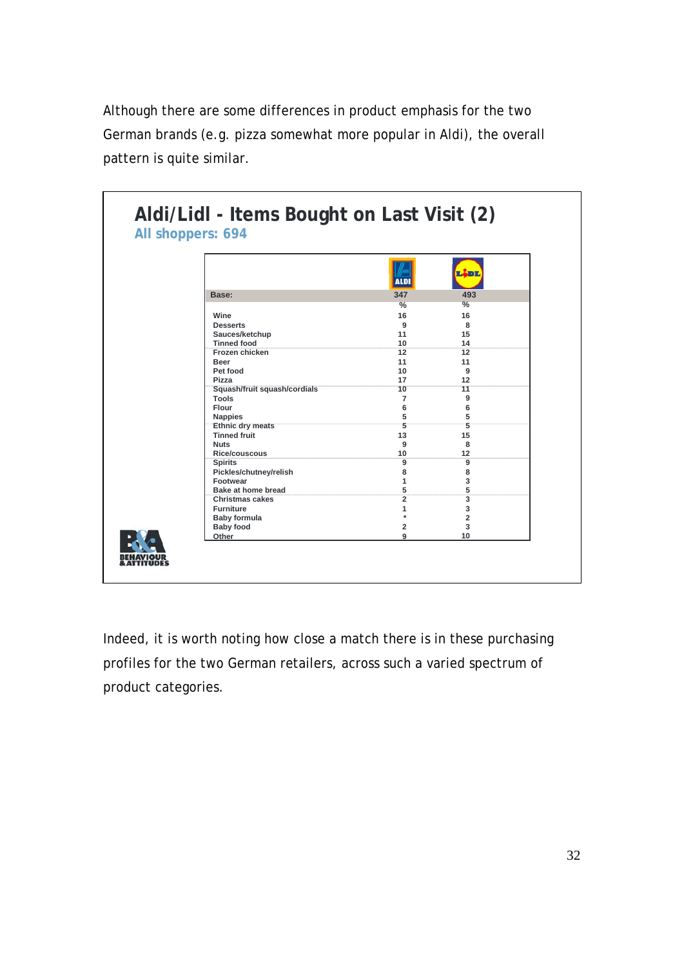Although there are some differences in product emphasis for the two German brands (e.g. pizza somewhat more popular in Aldi), the overall pattern is quite similar.

|                              | <b>ALDI</b>    | $\mathbf{L}$ idi                     |
|------------------------------|----------------|--------------------------------------|
| Base:                        | 347            | 493                                  |
|                              | $\frac{0}{2}$  | $\frac{0}{0}$                        |
| Wine                         | 16             | 16                                   |
| <b>Desserts</b>              | 9              | 8                                    |
| Sauces/ketchup               | 11             | 15                                   |
| <b>Tinned food</b>           | 10             | 14                                   |
| Frozen chicken               | 12             | 12                                   |
| <b>Beer</b>                  | 11             | 11                                   |
| Pet food                     | 10             | 9                                    |
| Pizza                        | 17             | 12                                   |
| Squash/fruit squash/cordials | 10             | $\overline{11}$                      |
| <b>Tools</b>                 | $\overline{7}$ | 9                                    |
| Flour                        | 6              | 6                                    |
| <b>Nappies</b>               | 5              | 5                                    |
| Ethnic dry meats             | 5              | 5                                    |
| <b>Tinned fruit</b>          | 13             | 15                                   |
| <b>Nuts</b>                  | 9              | 8                                    |
| Rice/couscous                | 10             | 12                                   |
| <b>Spirits</b>               | $\overline{9}$ | 9                                    |
| Pickles/chutney/relish       | 8              | 8                                    |
| Footwear                     | 1              | 3                                    |
| <b>Bake at home bread</b>    | 5              | 5                                    |
| <b>Christmas cakes</b>       | $\overline{2}$ | $\overline{\overline{\overline{3}}}$ |
| <b>Furniture</b>             | 1              | 3                                    |
| <b>Baby formula</b>          | $\star$        | $\overline{2}$                       |
| <b>Baby food</b>             | $\overline{2}$ | 3                                    |
| Other                        | 9              | 10                                   |

Indeed, it is worth noting how close a match there is in these purchasing profiles for the two German retailers, across such a varied spectrum of product categories.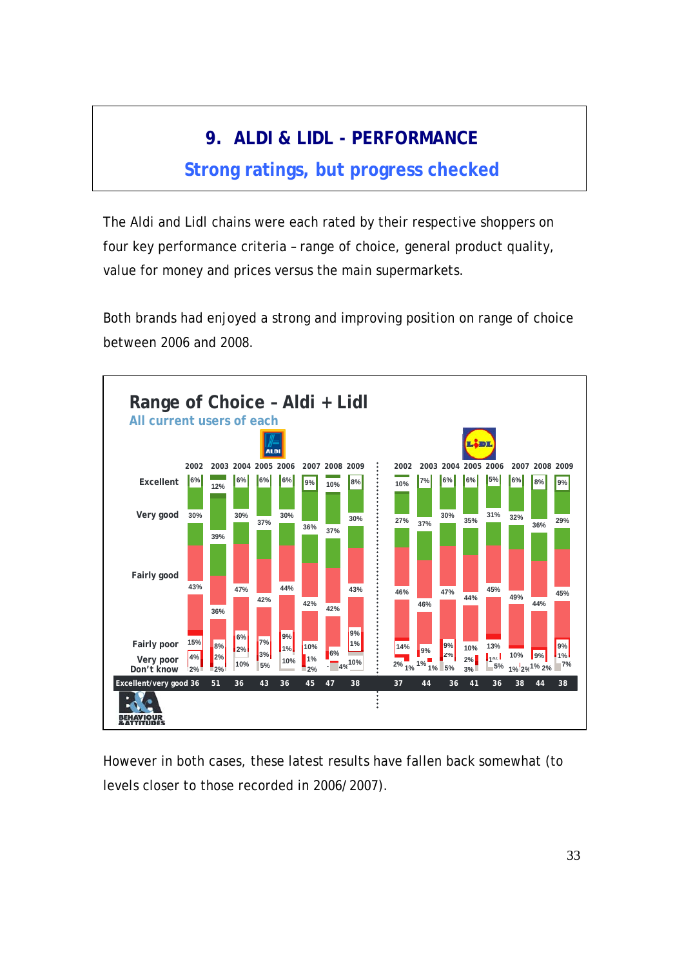## **9. ALDI & LIDL - PERFORMANCE**

#### **Strong ratings, but progress checked**

The Aldi and Lidl chains were each rated by their respective shoppers on four key performance criteria – range of choice, general product quality, value for money and prices versus the main supermarkets.

Both brands had enjoyed a strong and improving position on range of choice between 2006 and 2008.



However in both cases, these latest results have fallen back somewhat (to levels closer to those recorded in 2006/2007).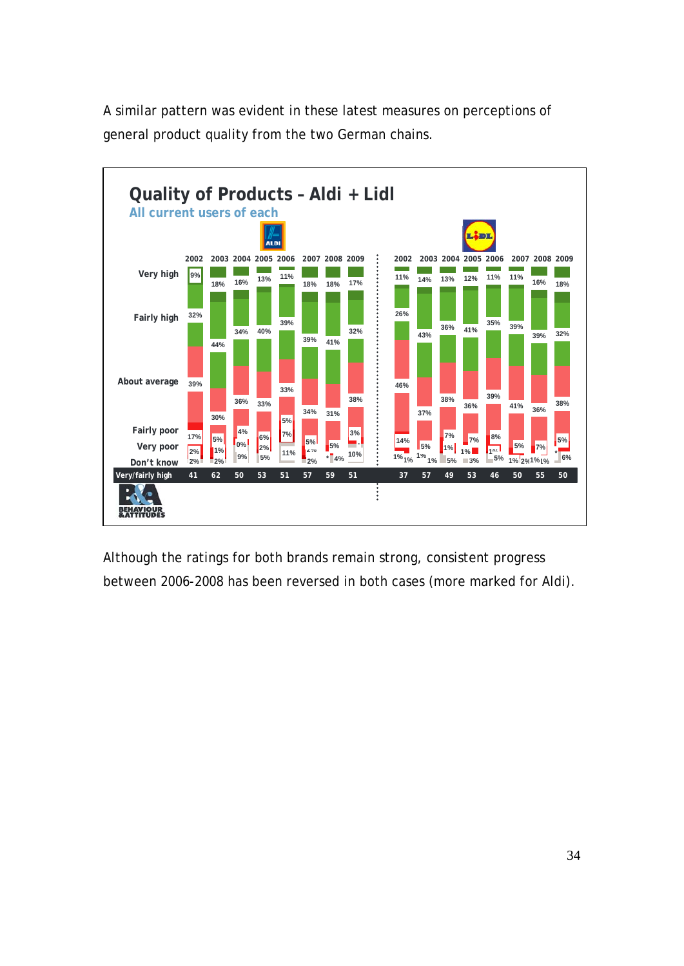

A similar pattern was evident in these latest measures on perceptions of general product quality from the two German chains.

Although the ratings for both brands remain strong, consistent progress between 2006-2008 has been reversed in both cases (more marked for Aldi).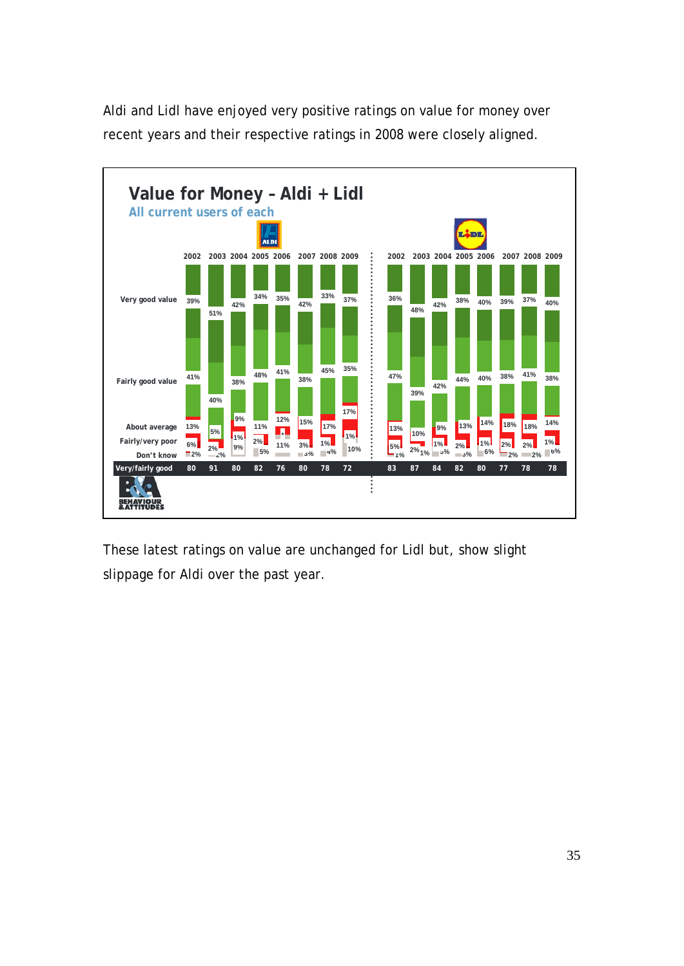

Aldi and Lidl have enjoyed very positive ratings on value for money over recent years and their respective ratings in 2008 were closely aligned.

These latest ratings on value are unchanged for Lidl but, show slight slippage for Aldi over the past year.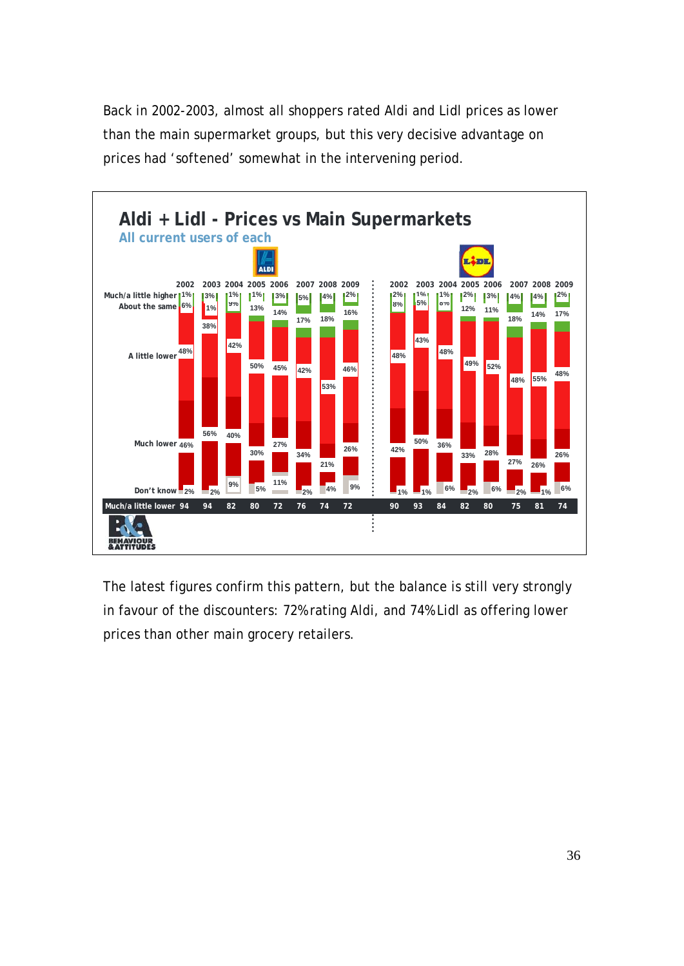Back in 2002-2003, almost all shoppers rated Aldi and Lidl prices as lower than the main supermarket groups, but this very decisive advantage on prices had 'softened' somewhat in the intervening period.



The latest figures confirm this pattern, but the balance is still very strongly in favour of the discounters: 72% rating Aldi, and 74% Lidl as offering lower prices than other main grocery retailers.